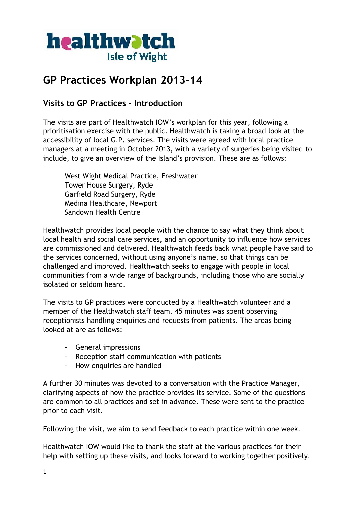

# **GP Practices Workplan 2013-14**

## **Visits to GP Practices - Introduction**

The visits are part of Healthwatch IOW's workplan for this year, following a prioritisation exercise with the public. Healthwatch is taking a broad look at the accessibility of local G.P. services. The visits were agreed with local practice managers at a meeting in October 2013, with a variety of surgeries being visited to include, to give an overview of the Island's provision. These are as follows:

West Wight Medical Practice, Freshwater Tower House Surgery, Ryde Garfield Road Surgery, Ryde Medina Healthcare, Newport Sandown Health Centre

Healthwatch provides local people with the chance to say what they think about local health and social care services, and an opportunity to influence how services are commissioned and delivered. Healthwatch feeds back what people have said to the services concerned, without using anyone's name, so that things can be challenged and improved. Healthwatch seeks to engage with people in local communities from a wide range of backgrounds, including those who are socially isolated or seldom heard.

The visits to GP practices were conducted by a Healthwatch volunteer and a member of the Healthwatch staff team. 45 minutes was spent observing receptionists handling enquiries and requests from patients. The areas being looked at are as follows:

- General impressions
- Reception staff communication with patients
- How enquiries are handled

A further 30 minutes was devoted to a conversation with the Practice Manager, clarifying aspects of how the practice provides its service. Some of the questions are common to all practices and set in advance. These were sent to the practice prior to each visit.

Following the visit, we aim to send feedback to each practice within one week.

Healthwatch IOW would like to thank the staff at the various practices for their help with setting up these visits, and looks forward to working together positively.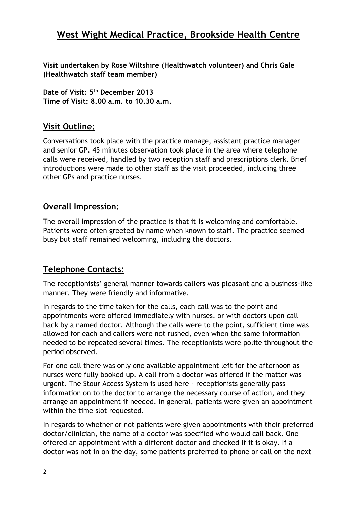## **West Wight Medical Practice, Brookside Health Centre**

**Visit undertaken by Rose Wiltshire (Healthwatch volunteer) and Chris Gale (Healthwatch staff team member)**

**Date of Visit: 5th December 2013 Time of Visit: 8.00 a.m. to 10.30 a.m.**

### **Visit Outline:**

Conversations took place with the practice manage, assistant practice manager and senior GP. 45 minutes observation took place in the area where telephone calls were received, handled by two reception staff and prescriptions clerk. Brief introductions were made to other staff as the visit proceeded, including three other GPs and practice nurses.

### **Overall Impression:**

The overall impression of the practice is that it is welcoming and comfortable. Patients were often greeted by name when known to staff. The practice seemed busy but staff remained welcoming, including the doctors.

## **Telephone Contacts:**

The receptionists' general manner towards callers was pleasant and a business-like manner. They were friendly and informative.

In regards to the time taken for the calls, each call was to the point and appointments were offered immediately with nurses, or with doctors upon call back by a named doctor. Although the calls were to the point, sufficient time was allowed for each and callers were not rushed, even when the same information needed to be repeated several times. The receptionists were polite throughout the period observed.

For one call there was only one available appointment left for the afternoon as nurses were fully booked up. A call from a doctor was offered if the matter was urgent. The Stour Access System is used here - receptionists generally pass information on to the doctor to arrange the necessary course of action, and they arrange an appointment if needed. In general, patients were given an appointment within the time slot requested.

In regards to whether or not patients were given appointments with their preferred doctor/clinician, the name of a doctor was specified who would call back. One offered an appointment with a different doctor and checked if it is okay. If a doctor was not in on the day, some patients preferred to phone or call on the next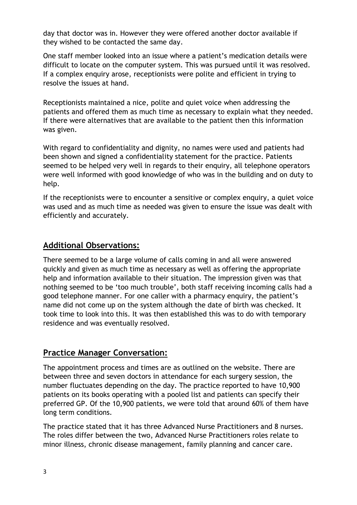day that doctor was in. However they were offered another doctor available if they wished to be contacted the same day.

One staff member looked into an issue where a patient's medication details were difficult to locate on the computer system. This was pursued until it was resolved. If a complex enquiry arose, receptionists were polite and efficient in trying to resolve the issues at hand.

Receptionists maintained a nice, polite and quiet voice when addressing the patients and offered them as much time as necessary to explain what they needed. If there were alternatives that are available to the patient then this information was given.

With regard to confidentiality and dignity, no names were used and patients had been shown and signed a confidentiality statement for the practice. Patients seemed to be helped very well in regards to their enquiry, all telephone operators were well informed with good knowledge of who was in the building and on duty to help.

If the receptionists were to encounter a sensitive or complex enquiry, a quiet voice was used and as much time as needed was given to ensure the issue was dealt with efficiently and accurately.

#### **Additional Observations:**

There seemed to be a large volume of calls coming in and all were answered quickly and given as much time as necessary as well as offering the appropriate help and information available to their situation. The impression given was that nothing seemed to be 'too much trouble', both staff receiving incoming calls had a good telephone manner. For one caller with a pharmacy enquiry, the patient's name did not come up on the system although the date of birth was checked. It took time to look into this. It was then established this was to do with temporary residence and was eventually resolved.

#### **Practice Manager Conversation:**

The appointment process and times are as outlined on the website. There are between three and seven doctors in attendance for each surgery session, the number fluctuates depending on the day. The practice reported to have 10,900 patients on its books operating with a pooled list and patients can specify their preferred GP. Of the 10,900 patients, we were told that around 60% of them have long term conditions.

The practice stated that it has three Advanced Nurse Practitioners and 8 nurses. The roles differ between the two, Advanced Nurse Practitioners roles relate to minor illness, chronic disease management, family planning and cancer care.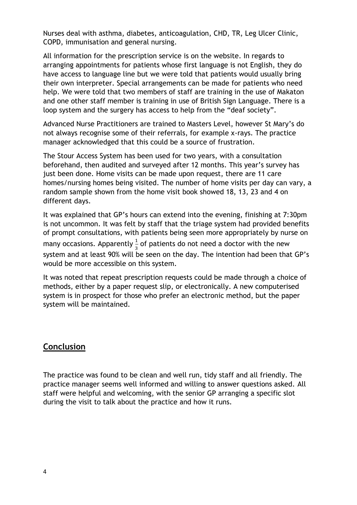Nurses deal with asthma, diabetes, anticoagulation, CHD, TR, Leg Ulcer Clinic, COPD, immunisation and general nursing.

All information for the prescription service is on the website. In regards to arranging appointments for patients whose first language is not English, they do have access to language line but we were told that patients would usually bring their own interpreter. Special arrangements can be made for patients who need help. We were told that two members of staff are training in the use of Makaton and one other staff member is training in use of British Sign Language. There is a loop system and the surgery has access to help from the "deaf society".

Advanced Nurse Practitioners are trained to Masters Level, however St Mary's do not always recognise some of their referrals, for example x-rays. The practice manager acknowledged that this could be a source of frustration.

The Stour Access System has been used for two years, with a consultation beforehand, then audited and surveyed after 12 months. This year's survey has just been done. Home visits can be made upon request, there are 11 care homes/nursing homes being visited. The number of home visits per day can vary, a random sample shown from the home visit book showed 18, 13, 23 and 4 on different days.

It was explained that GP's hours can extend into the evening, finishing at 7:30pm is not uncommon. It was felt by staff that the triage system had provided benefits of prompt consultations, with patients being seen more appropriately by nurse on many occasions. Apparently  $\frac{1}{3}$  of patients do not need a doctor with the new system and at least 90% will be seen on the day. The intention had been that GP's would be more accessible on this system.

It was noted that repeat prescription requests could be made through a choice of methods, either by a paper request slip, or electronically. A new computerised system is in prospect for those who prefer an electronic method, but the paper system will be maintained.

### **Conclusion**

The practice was found to be clean and well run, tidy staff and all friendly. The practice manager seems well informed and willing to answer questions asked. All staff were helpful and welcoming, with the senior GP arranging a specific slot during the visit to talk about the practice and how it runs.